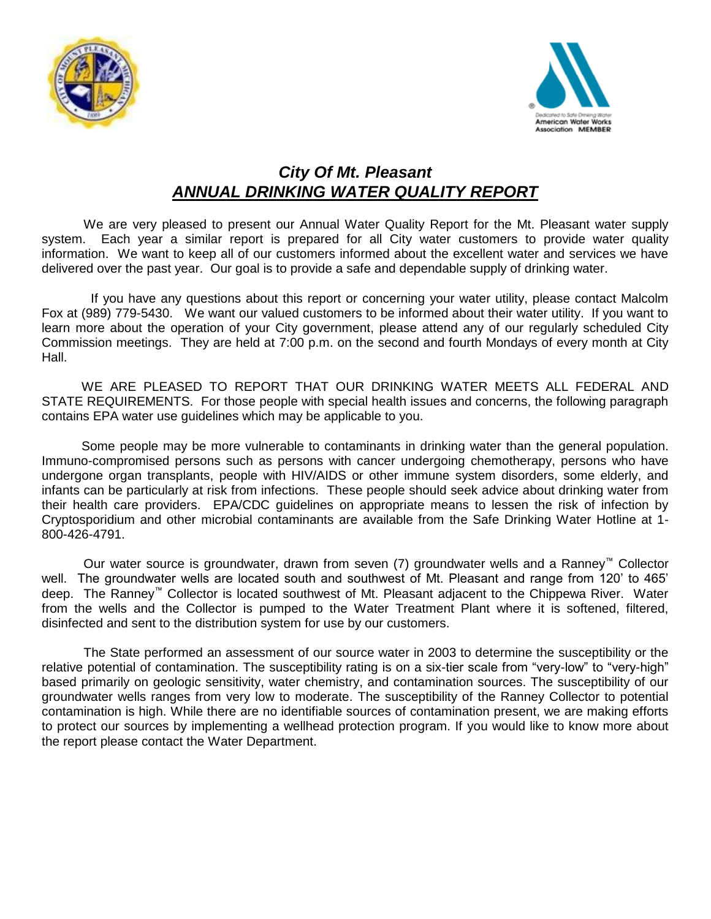



## *City Of Mt. Pleasant ANNUAL DRINKING WATER QUALITY REPORT*

We are very pleased to present our Annual Water Quality Report for the Mt. Pleasant water supply system. Each year a similar report is prepared for all City water customers to provide water quality information. We want to keep all of our customers informed about the excellent water and services we have delivered over the past year. Our goal is to provide a safe and dependable supply of drinking water.

If you have any questions about this report or concerning your water utility, please contact Malcolm Fox at (989) 779-5430.We want our valued customers to be informed about their water utility. If you want to learn more about the operation of your City government, please attend any of our regularly scheduled City Commission meetings. They are held at 7:00 p.m. on the second and fourth Mondays of every month at City Hall.

WE ARE PLEASED TO REPORT THAT OUR DRINKING WATER MEETS ALL FEDERAL AND STATE REQUIREMENTS. For those people with special health issues and concerns, the following paragraph contains EPA water use guidelines which may be applicable to you.

 Some people may be more vulnerable to contaminants in drinking water than the general population. Immuno-compromised persons such as persons with cancer undergoing chemotherapy, persons who have undergone organ transplants, people with HIV/AIDS or other immune system disorders, some elderly, and infants can be particularly at risk from infections. These people should seek advice about drinking water from their health care providers. EPA/CDC guidelines on appropriate means to lessen the risk of infection by Cryptosporidium and other microbial contaminants are available from the Safe Drinking Water Hotline at 1- 800-426-4791.

Our water source is groundwater, drawn from seven (7) groundwater wells and a Ranney™ Collector well. The groundwater wells are located south and southwest of Mt. Pleasant and range from 120' to 465' deep. The Ranney™ Collector is located southwest of Mt. Pleasant adjacent to the Chippewa River. Water from the wells and the Collector is pumped to the Water Treatment Plant where it is softened, filtered, disinfected and sent to the distribution system for use by our customers.

The State performed an assessment of our source water in 2003 to determine the susceptibility or the relative potential of contamination. The susceptibility rating is on a six-tier scale from "very-low" to "very-high" based primarily on geologic sensitivity, water chemistry, and contamination sources. The susceptibility of our groundwater wells ranges from very low to moderate. The susceptibility of the Ranney Collector to potential contamination is high. While there are no identifiable sources of contamination present, we are making efforts to protect our sources by implementing a wellhead protection program. If you would like to know more about the report please contact the Water Department.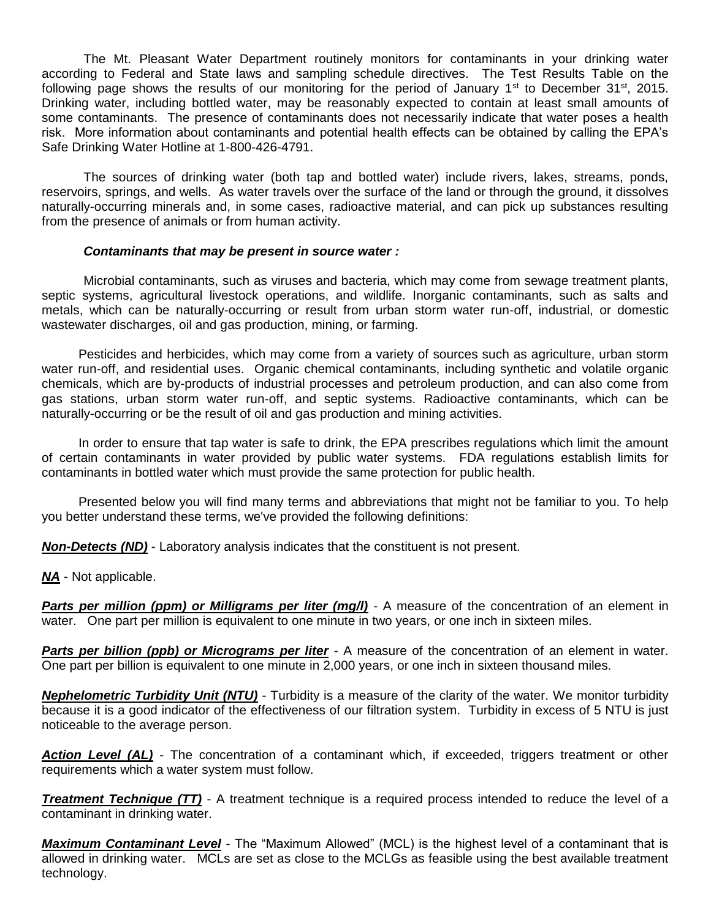The Mt. Pleasant Water Department routinely monitors for contaminants in your drinking water according to Federal and State laws and sampling schedule directives. The Test Results Table on the following page shows the results of our monitoring for the period of January 1<sup>st</sup> to December 31<sup>st</sup>, 2015. Drinking water, including bottled water, may be reasonably expected to contain at least small amounts of some contaminants. The presence of contaminants does not necessarily indicate that water poses a health risk. More information about contaminants and potential health effects can be obtained by calling the EPA's Safe Drinking Water Hotline at 1-800-426-4791.

The sources of drinking water (both tap and bottled water) include rivers, lakes, streams, ponds, reservoirs, springs, and wells. As water travels over the surface of the land or through the ground, it dissolves naturally-occurring minerals and, in some cases, radioactive material, and can pick up substances resulting from the presence of animals or from human activity.

## *Contaminants that may be present in source water :*

Microbial contaminants, such as viruses and bacteria, which may come from sewage treatment plants, septic systems, agricultural livestock operations, and wildlife. Inorganic contaminants, such as salts and metals, which can be naturally-occurring or result from urban storm water run-off, industrial, or domestic wastewater discharges, oil and gas production, mining, or farming.

Pesticides and herbicides, which may come from a variety of sources such as agriculture, urban storm water run-off, and residential uses. Organic chemical contaminants, including synthetic and volatile organic chemicals, which are by-products of industrial processes and petroleum production, and can also come from gas stations, urban storm water run-off, and septic systems. Radioactive contaminants, which can be naturally-occurring or be the result of oil and gas production and mining activities.

In order to ensure that tap water is safe to drink, the EPA prescribes regulations which limit the amount of certain contaminants in water provided by public water systems. FDA regulations establish limits for contaminants in bottled water which must provide the same protection for public health.

Presented below you will find many terms and abbreviations that might not be familiar to you. To help you better understand these terms, we've provided the following definitions:

*Non-Detects (ND)* - Laboratory analysis indicates that the constituent is not present.

*NA* - Not applicable.

**Parts per million (ppm) or Milligrams per liter (mg/l)** - A measure of the concentration of an element in water. One part per million is equivalent to one minute in two years, or one inch in sixteen miles.

**Parts per billion (ppb) or Micrograms per liter** - A measure of the concentration of an element in water. One part per billion is equivalent to one minute in 2,000 years, or one inch in sixteen thousand miles.

*Nephelometric Turbidity Unit (NTU)* - Turbidity is a measure of the clarity of the water. We monitor turbidity because it is a good indicator of the effectiveness of our filtration system. Turbidity in excess of 5 NTU is just noticeable to the average person.

*Action Level (AL)* - The concentration of a contaminant which, if exceeded, triggers treatment or other requirements which a water system must follow.

*Treatment Technique (TT)* - A treatment technique is a required process intended to reduce the level of a contaminant in drinking water.

*Maximum Contaminant Level* - The "Maximum Allowed" (MCL) is the highest level of a contaminant that is allowed in drinking water. MCLs are set as close to the MCLGs as feasible using the best available treatment technology.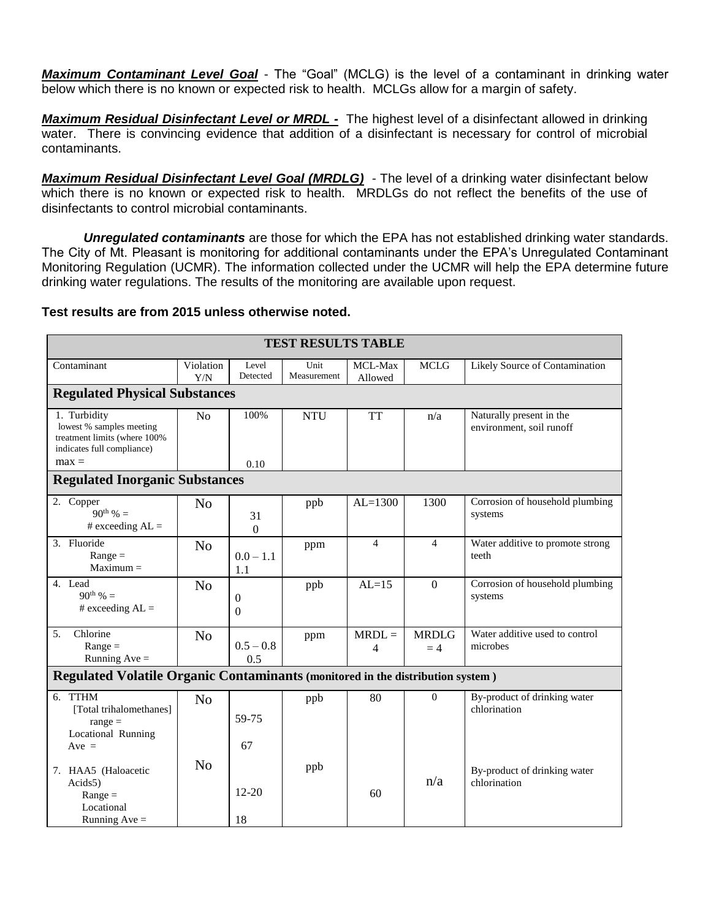*Maximum Contaminant Level Goal* - The "Goal" (MCLG) is the level of a contaminant in drinking water below which there is no known or expected risk to health. MCLGs allow for a margin of safety.

*Maximum Residual Disinfectant Level or MRDL -* The highest level of a disinfectant allowed in drinking water. There is convincing evidence that addition of a disinfectant is necessary for control of microbial contaminants.

*Maximum Residual Disinfectant Level Goal (MRDLG) -* The level of a drinking water disinfectant below which there is no known or expected risk to health. MRDLGs do not reflect the benefits of the use of disinfectants to control microbial contaminants.

*Unregulated contaminants* are those for which the EPA has not established drinking water standards. The City of Mt. Pleasant is monitoring for additional contaminants under the EPA's Unregulated Contaminant Monitoring Regulation (UCMR). The information collected under the UCMR will help the EPA determine future drinking water regulations. The results of the monitoring are available upon request.

## **Test results are from 2015 unless otherwise noted.**

| <b>TEST RESULTS TABLE</b>                                                                              |                  |                          |                     |                          |                      |                                                      |  |  |  |  |  |
|--------------------------------------------------------------------------------------------------------|------------------|--------------------------|---------------------|--------------------------|----------------------|------------------------------------------------------|--|--|--|--|--|
| Contaminant                                                                                            | Violation<br>Y/N | Level<br>Detected        | Unit<br>Measurement | MCL-Max<br>Allowed       | <b>MCLG</b>          | Likely Source of Contamination                       |  |  |  |  |  |
| <b>Regulated Physical Substances</b>                                                                   |                  |                          |                     |                          |                      |                                                      |  |  |  |  |  |
| 1. Turbidity<br>lowest % samples meeting<br>treatment limits (where 100%<br>indicates full compliance) | N <sub>o</sub>   | 100%                     | <b>NTU</b>          | <b>TT</b>                | n/a                  | Naturally present in the<br>environment, soil runoff |  |  |  |  |  |
| $max =$                                                                                                |                  | 0.10                     |                     |                          |                      |                                                      |  |  |  |  |  |
| <b>Regulated Inorganic Substances</b>                                                                  |                  |                          |                     |                          |                      |                                                      |  |  |  |  |  |
| 2. Copper<br>$90^{th}$ % =<br># exceeding $AL =$                                                       | N <sub>0</sub>   | 31<br>$\overline{0}$     | ppb                 | $AL=1300$                | 1300                 | Corrosion of household plumbing<br>systems           |  |  |  |  |  |
| 3. Fluoride<br>$Range =$<br>$Maximum =$                                                                | N <sub>0</sub>   | $0.0 - 1.1$<br>1.1       | ppm                 | $\overline{\mathcal{L}}$ | $\overline{4}$       | Water additive to promote strong<br>teeth            |  |  |  |  |  |
| 4. Lead<br>$90^{th}$ % =<br># exceeding $AL =$                                                         | N <sub>o</sub>   | $\mathbf{0}$<br>$\Omega$ | ppb                 | $AL=15$                  | $\Omega$             | Corrosion of household plumbing<br>systems           |  |  |  |  |  |
| Chlorine<br>5.<br>$Range =$<br>Running $Ave =$                                                         | N <sub>o</sub>   | $0.5 - 0.8$<br>0.5       | ppm                 | $MRDL =$<br>4            | <b>MRDLG</b><br>$=4$ | Water additive used to control<br>microbes           |  |  |  |  |  |
| Regulated Volatile Organic Contaminants (monitored in the distribution system)                         |                  |                          |                     |                          |                      |                                                      |  |  |  |  |  |
| 6. TTHM<br>[Total trihalomethanes]<br>$range =$<br>Locational Running<br>$Ave =$                       | N <sub>o</sub>   | 59-75<br>67              | ppb                 | 80                       | $\Omega$             | By-product of drinking water<br>chlorination         |  |  |  |  |  |
| 7. HAA5 (Haloacetic<br>Acids5)<br>$Range =$<br>Locational<br>Running $Ave =$                           | N <sub>o</sub>   | $12 - 20$<br>18          | ppb                 | 60                       | n/a                  | By-product of drinking water<br>chlorination         |  |  |  |  |  |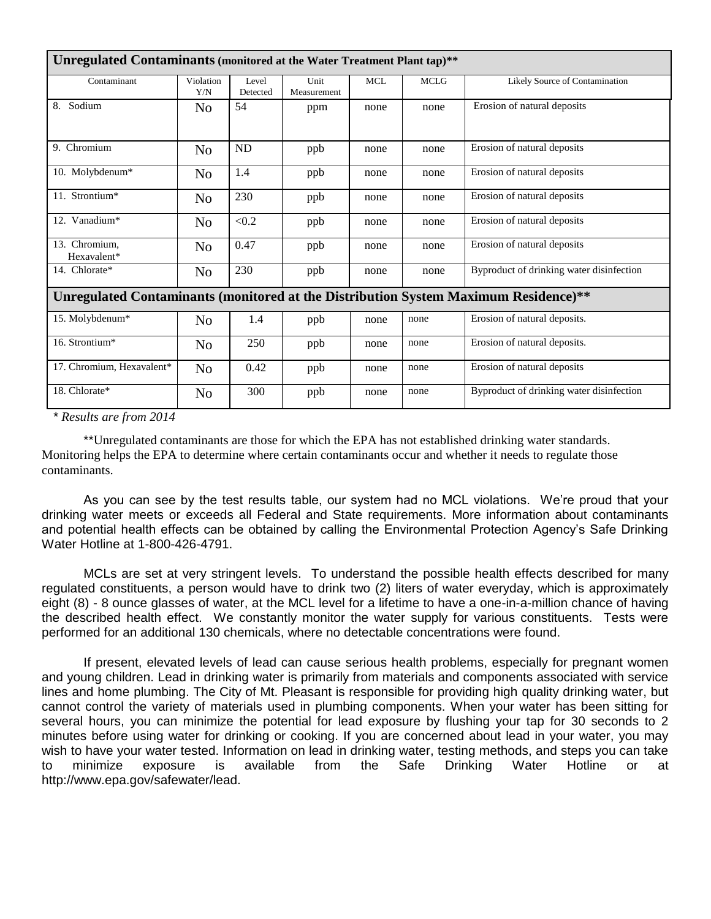| Unregulated Contaminants (monitored at the Water Treatment Plant tap)**             |                  |                   |                     |            |             |                                          |  |  |  |  |
|-------------------------------------------------------------------------------------|------------------|-------------------|---------------------|------------|-------------|------------------------------------------|--|--|--|--|
| Contaminant                                                                         | Violation<br>Y/N | Level<br>Detected | Unit<br>Measurement | <b>MCL</b> | <b>MCLG</b> | Likely Source of Contamination           |  |  |  |  |
| Sodium<br>8.                                                                        | No               | 54                | ppm                 | none       | none        | Erosion of natural deposits              |  |  |  |  |
| 9. Chromium                                                                         | N <sub>o</sub>   | ND                | ppb                 | none       | none        | Erosion of natural deposits              |  |  |  |  |
| 10. Molybdenum*                                                                     | N <sub>o</sub>   | 1.4               | ppb                 | none       | none        | Erosion of natural deposits              |  |  |  |  |
| 11. Strontium*                                                                      | N <sub>o</sub>   | 230               | ppb                 | none       | none        | Erosion of natural deposits              |  |  |  |  |
| 12. Vanadium*                                                                       | N <sub>o</sub>   | < 0.2             | ppb                 | none       | none        | Erosion of natural deposits              |  |  |  |  |
| 13. Chromium,<br>Hexavalent*                                                        | N <sub>o</sub>   | 0.47              | ppb                 | none       | none        | Erosion of natural deposits              |  |  |  |  |
| 14. Chlorate*                                                                       | N <sub>o</sub>   | 230               | ppb                 | none       | none        | Byproduct of drinking water disinfection |  |  |  |  |
| Unregulated Contaminants (monitored at the Distribution System Maximum Residence)** |                  |                   |                     |            |             |                                          |  |  |  |  |
| 15. Molybdenum*                                                                     | N <sub>o</sub>   | 1.4               | ppb                 | none       | none        | Erosion of natural deposits.             |  |  |  |  |
| 16. Strontium*                                                                      | N <sub>o</sub>   | 250               | ppb                 | none       | none        | Erosion of natural deposits.             |  |  |  |  |
| 17. Chromium, Hexavalent*                                                           | N <sub>o</sub>   | 0.42              | ppb                 | none       | none        | Erosion of natural deposits              |  |  |  |  |
| 18. Chlorate*<br>$\mathcal{L}$<br>2011<br>$\star$ n 1.                              | N <sub>o</sub>   | 300               | ppb                 | none       | none        | Byproduct of drinking water disinfection |  |  |  |  |

*\* Results are from 2014*

\*\*Unregulated contaminants are those for which the EPA has not established drinking water standards. Monitoring helps the EPA to determine where certain contaminants occur and whether it needs to regulate those contaminants.

As you can see by the test results table, our system had no MCL violations. We're proud that your drinking water meets or exceeds all Federal and State requirements. More information about contaminants and potential health effects can be obtained by calling the Environmental Protection Agency's Safe Drinking Water Hotline at 1-800-426-4791.

MCLs are set at very stringent levels. To understand the possible health effects described for many regulated constituents, a person would have to drink two (2) liters of water everyday, which is approximately eight (8) - 8 ounce glasses of water, at the MCL level for a lifetime to have a one-in-a-million chance of having the described health effect. We constantly monitor the water supply for various constituents. Tests were performed for an additional 130 chemicals, where no detectable concentrations were found.

If present, elevated levels of lead can cause serious health problems, especially for pregnant women and young children. Lead in drinking water is primarily from materials and components associated with service lines and home plumbing. The City of Mt. Pleasant is responsible for providing high quality drinking water, but cannot control the variety of materials used in plumbing components. When your water has been sitting for several hours, you can minimize the potential for lead exposure by flushing your tap for 30 seconds to 2 minutes before using water for drinking or cooking. If you are concerned about lead in your water, you may wish to have your water tested. Information on lead in drinking water, testing methods, and steps you can take to minimize exposure is available from the Safe Drinking Water Hotline or at http://www.epa.gov/safewater/lead.